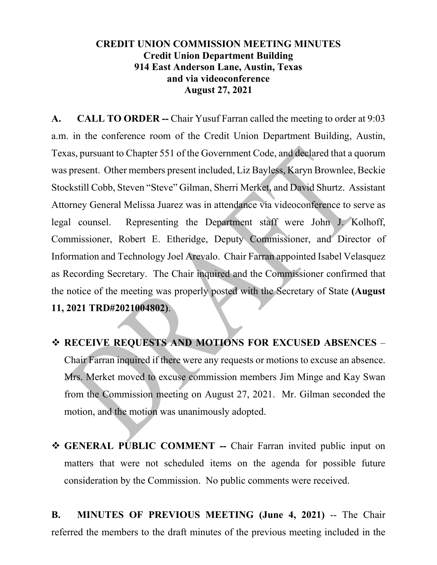## **CREDIT UNION COMMISSION MEETING MINUTES Credit Union Department Building 914 East Anderson Lane, Austin, Texas and via videoconference August 27, 2021**

**A. CALL TO ORDER --** Chair Yusuf Farran called the meeting to order at 9:03 a.m. in the conference room of the Credit Union Department Building, Austin, Texas, pursuant to Chapter 551 of the Government Code, and declared that a quorum was present. Other members present included, Liz Bayless, Karyn Brownlee, Beckie Stockstill Cobb, Steven "Steve" Gilman, Sherri Merket, and David Shurtz. Assistant Attorney General Melissa Juarez was in attendance via videoconference to serve as legal counsel. Representing the Department staff were John J. Kolhoff, Commissioner, Robert E. Etheridge, Deputy Commissioner, and Director of Information and Technology Joel Arevalo. Chair Farran appointed Isabel Velasquez as Recording Secretary. The Chair inquired and the Commissioner confirmed that the notice of the meeting was properly posted with the Secretary of State **(August 11, 2021 TRD#2021004802)**.

- **RECEIVE REQUESTS AND MOTIONS FOR EXCUSED ABSENCES** Chair Farran inquired if there were any requests or motions to excuse an absence. Mrs. Merket moved to excuse commission members Jim Minge and Kay Swan from the Commission meeting on August 27, 2021. Mr. Gilman seconded the motion, and the motion was unanimously adopted.
- **GENERAL PUBLIC COMMENT --** Chair Farran invited public input on matters that were not scheduled items on the agenda for possible future consideration by the Commission. No public comments were received.

**B. MINUTES OF PREVIOUS MEETING (June 4, 2021)** -- The Chair referred the members to the draft minutes of the previous meeting included in the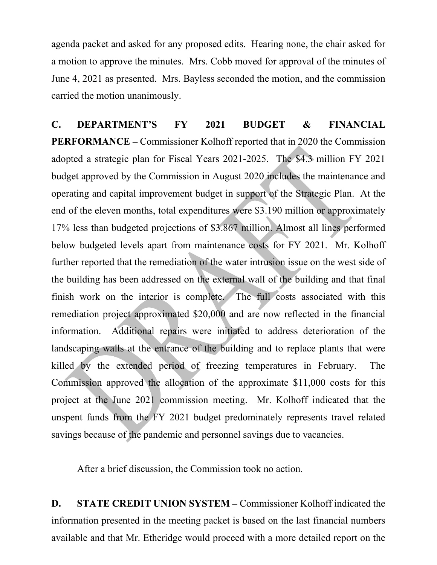agenda packet and asked for any proposed edits. Hearing none, the chair asked for a motion to approve the minutes. Mrs. Cobb moved for approval of the minutes of June 4, 2021 as presented. Mrs. Bayless seconded the motion, and the commission carried the motion unanimously.

**C. DEPARTMENT'S FY 2021 BUDGET & FINANCIAL PERFORMANCE –** Commissioner Kolhoff reported that in 2020 the Commission adopted a strategic plan for Fiscal Years 2021-2025. The \$4.3 million FY 2021 budget approved by the Commission in August 2020 includes the maintenance and operating and capital improvement budget in support of the Strategic Plan. At the end of the eleven months, total expenditures were \$3.190 million or approximately 17% less than budgeted projections of \$3.867 million. Almost all lines performed below budgeted levels apart from maintenance costs for FY 2021. Mr. Kolhoff further reported that the remediation of the water intrusion issue on the west side of the building has been addressed on the external wall of the building and that final finish work on the interior is complete. The full costs associated with this remediation project approximated \$20,000 and are now reflected in the financial information. Additional repairs were initiated to address deterioration of the landscaping walls at the entrance of the building and to replace plants that were killed by the extended period of freezing temperatures in February. The Commission approved the allocation of the approximate \$11,000 costs for this project at the June 2021 commission meeting. Mr. Kolhoff indicated that the unspent funds from the FY 2021 budget predominately represents travel related savings because of the pandemic and personnel savings due to vacancies.

After a brief discussion, the Commission took no action.

**D. STATE CREDIT UNION SYSTEM –** Commissioner Kolhoff indicated the information presented in the meeting packet is based on the last financial numbers available and that Mr. Etheridge would proceed with a more detailed report on the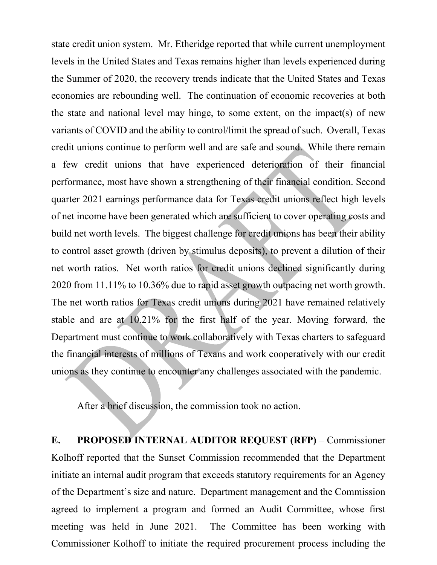state credit union system. Mr. Etheridge reported that while current unemployment levels in the United States and Texas remains higher than levels experienced during the Summer of 2020, the recovery trends indicate that the United States and Texas economies are rebounding well. The continuation of economic recoveries at both the state and national level may hinge, to some extent, on the impact(s) of new variants of COVID and the ability to control/limit the spread of such. Overall, Texas credit unions continue to perform well and are safe and sound. While there remain a few credit unions that have experienced deterioration of their financial performance, most have shown a strengthening of their financial condition. Second quarter 2021 earnings performance data for Texas credit unions reflect high levels of net income have been generated which are sufficient to cover operating costs and build net worth levels. The biggest challenge for credit unions has been their ability to control asset growth (driven by stimulus deposits), to prevent a dilution of their net worth ratios. Net worth ratios for credit unions declined significantly during 2020 from 11.11% to 10.36% due to rapid asset growth outpacing net worth growth. The net worth ratios for Texas credit unions during 2021 have remained relatively stable and are at 10.21% for the first half of the year. Moving forward, the Department must continue to work collaboratively with Texas charters to safeguard the financial interests of millions of Texans and work cooperatively with our credit unions as they continue to encounter any challenges associated with the pandemic.

After a brief discussion, the commission took no action.

**E. PROPOSED INTERNAL AUDITOR REQUEST (RFP)** – Commissioner Kolhoff reported that the Sunset Commission recommended that the Department initiate an internal audit program that exceeds statutory requirements for an Agency of the Department's size and nature. Department management and the Commission agreed to implement a program and formed an Audit Committee, whose first meeting was held in June 2021. The Committee has been working with Commissioner Kolhoff to initiate the required procurement process including the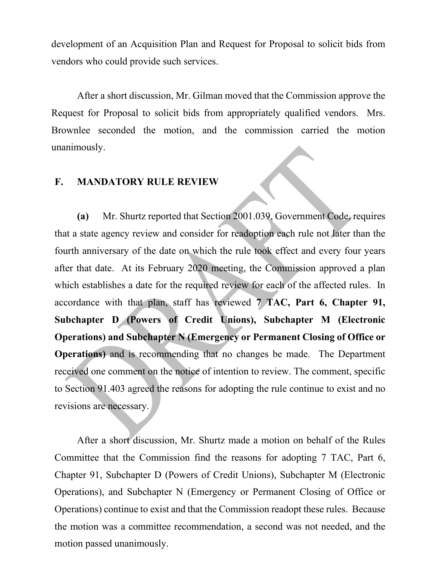development of an Acquisition Plan and Request for Proposal to solicit bids from vendors who could provide such services.

After a short discussion, Mr. Gilman moved that the Commission approve the Request for Proposal to solicit bids from appropriately qualified vendors. Mrs. Brownlee seconded the motion, and the commission carried the motion unanimously.

## **F. MANDATORY RULE REVIEW**

**(a)** Mr. Shurtz reported that Section 2001.039, Government Code, requires that a state agency review and consider for readoption each rule not later than the fourth anniversary of the date on which the rule took effect and every four years after that date. At its February 2020 meeting, the Commission approved a plan which establishes a date for the required review for each of the affected rules. In accordance with that plan, staff has reviewed **7 TAC, Part 6, Chapter 91, Subchapter D (Powers of Credit Unions), Subchapter M (Electronic Operations) and Subchapter N (Emergency or Permanent Closing of Office or Operations)** and is recommending that no changes be made. The Department received one comment on the notice of intention to review. The comment, specific to Section 91.403 agreed the reasons for adopting the rule continue to exist and no revisions are necessary.

After a short discussion, Mr. Shurtz made a motion on behalf of the Rules Committee that the Commission find the reasons for adopting 7 TAC, Part 6, Chapter 91, Subchapter D (Powers of Credit Unions), Subchapter M (Electronic Operations), and Subchapter N (Emergency or Permanent Closing of Office or Operations) continue to exist and that the Commission readopt these rules. Because the motion was a committee recommendation, a second was not needed, and the motion passed unanimously.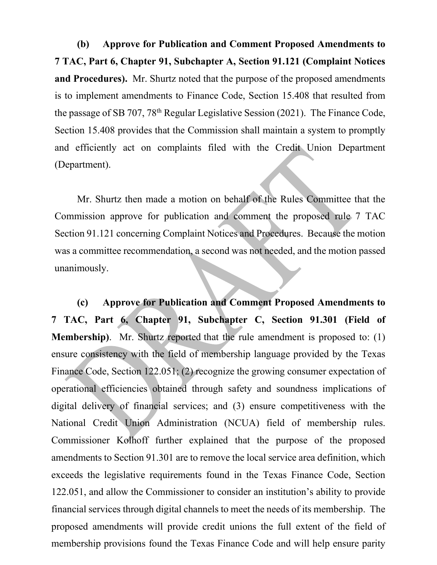**(b) Approve for Publication and Comment Proposed Amendments to 7 TAC, Part 6, Chapter 91, Subchapter A, Section 91.121 (Complaint Notices and Procedures).** Mr. Shurtz noted that the purpose of the proposed amendments is to implement amendments to Finance Code, Section 15.408 that resulted from the passage of SB 707, 78th Regular Legislative Session (2021). The Finance Code, Section 15.408 provides that the Commission shall maintain a system to promptly and efficiently act on complaints filed with the Credit Union Department (Department).

Mr. Shurtz then made a motion on behalf of the Rules Committee that the Commission approve for publication and comment the proposed rule 7 TAC Section 91.121 concerning Complaint Notices and Procedures. Because the motion was a committee recommendation, a second was not needed, and the motion passed unanimously.

**(c) Approve for Publication and Comment Proposed Amendments to 7 TAC, Part 6, Chapter 91, Subchapter C, Section 91.301 (Field of Membership)**. Mr. Shurtz reported that the rule amendment is proposed to: (1) ensure consistency with the field of membership language provided by the Texas Finance Code, Section 122.051; (2) recognize the growing consumer expectation of operational efficiencies obtained through safety and soundness implications of digital delivery of financial services; and (3) ensure competitiveness with the National Credit Union Administration (NCUA) field of membership rules. Commissioner Kolhoff further explained that the purpose of the proposed amendments to Section 91.301 are to remove the local service area definition, which exceeds the legislative requirements found in the Texas Finance Code, Section 122.051, and allow the Commissioner to consider an institution's ability to provide financial services through digital channels to meet the needs of its membership. The proposed amendments will provide credit unions the full extent of the field of membership provisions found the Texas Finance Code and will help ensure parity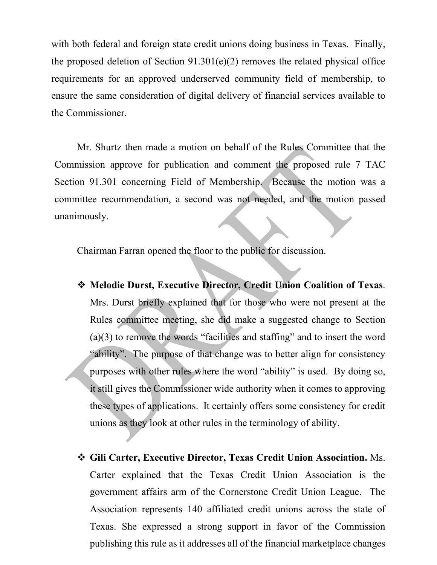with both federal and foreign state credit unions doing business in Texas. Finally, the proposed deletion of Section 91.301(e)(2) removes the related physical office requirements for an approved underserved community field of membership, to ensure the same consideration of digital delivery of financial services available to the Commissioner.

Mr. Shurtz then made a motion on behalf of the Rules Committee that the Commission approve for publication and comment the proposed rule 7 TAC Section 91.301 concerning Field of Membership. Because the motion was a committee recommendation, a second was not needed, and the motion passed unanimously.

Chairman Farran opened the floor to the public for discussion.

- **Melodie Durst, Executive Director, Credit Union Coalition of Texas**. Mrs. Durst briefly explained that for those who were not present at the Rules committee meeting, she did make a suggested change to Section (a)(3) to remove the words "facilities and staffing" and to insert the word "ability". The purpose of that change was to better align for consistency purposes with other rules where the word "ability" is used. By doing so, it still gives the Commissioner wide authority when it comes to approving these types of applications. It certainly offers some consistency for credit unions as they look at other rules in the terminology of ability.
- **Gili Carter, Executive Director, Texas Credit Union Association.** Ms. Carter explained that the Texas Credit Union Association is the government affairs arm of the Cornerstone Credit Union League. The Association represents 140 affiliated credit unions across the state of Texas. She expressed a strong support in favor of the Commission publishing this rule as it addresses all of the financial marketplace changes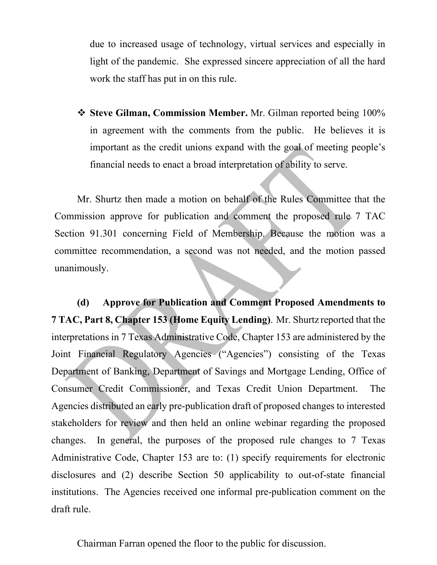due to increased usage of technology, virtual services and especially in light of the pandemic. She expressed sincere appreciation of all the hard work the staff has put in on this rule.

 **Steve Gilman, Commission Member.** Mr. Gilman reported being 100% in agreement with the comments from the public. He believes it is important as the credit unions expand with the goal of meeting people's financial needs to enact a broad interpretation of ability to serve.

Mr. Shurtz then made a motion on behalf of the Rules Committee that the Commission approve for publication and comment the proposed rule 7 TAC Section 91.301 concerning Field of Membership. Because the motion was a committee recommendation, a second was not needed, and the motion passed unanimously.

**(d) Approve for Publication and Comment Proposed Amendments to 7 TAC, Part 8, Chapter 153 (Home Equity Lending)**. Mr. Shurtz reported that the interpretations in 7 Texas Administrative Code, Chapter 153 are administered by the Joint Financial Regulatory Agencies ("Agencies") consisting of the Texas Department of Banking, Department of Savings and Mortgage Lending, Office of Consumer Credit Commissioner, and Texas Credit Union Department. The Agencies distributed an early pre-publication draft of proposed changes to interested stakeholders for review and then held an online webinar regarding the proposed changes. In general, the purposes of the proposed rule changes to 7 Texas Administrative Code, Chapter 153 are to: (1) specify requirements for electronic disclosures and (2) describe Section 50 applicability to out-of-state financial institutions. The Agencies received one informal pre-publication comment on the draft rule.

Chairman Farran opened the floor to the public for discussion.